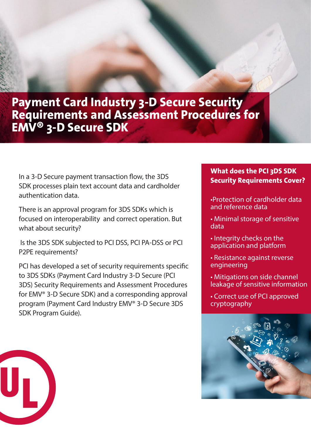## **Payment Card Industry 3-D Secure Security Requirements and Assessment Procedures for EMV® 3-D Secure SDK**

In a 3-D Secure payment transaction flow, the 3DS SDK processes plain text account data and cardholder authentication data.

There is an approval program for 3DS SDKs which is focused on interoperability and correct operation. But what about security?

 Is the 3DS SDK subjected to PCI DSS, PCI PA-DSS or PCI P2PE requirements?

PCI has developed a set of security requirements specific to 3DS SDKs (Payment Card Industry 3-D Secure (PCI 3DS) Security Requirements and Assessment Procedures for EMV® 3-D Secure SDK) and a corresponding approval program (Payment Card Industry EMV® 3-D Secure 3DS SDK Program Guide).

## **What does the PCI 3DS SDK Security Requirements Cover?**

•Protection of cardholder data and reference data

- Minimal storage of sensitive data
- Integrity checks on the application and platform
- Resistance against reverse engineering
- Mitigations on side channel leakage of sensitive information
- Correct use of PCI approved cryptography